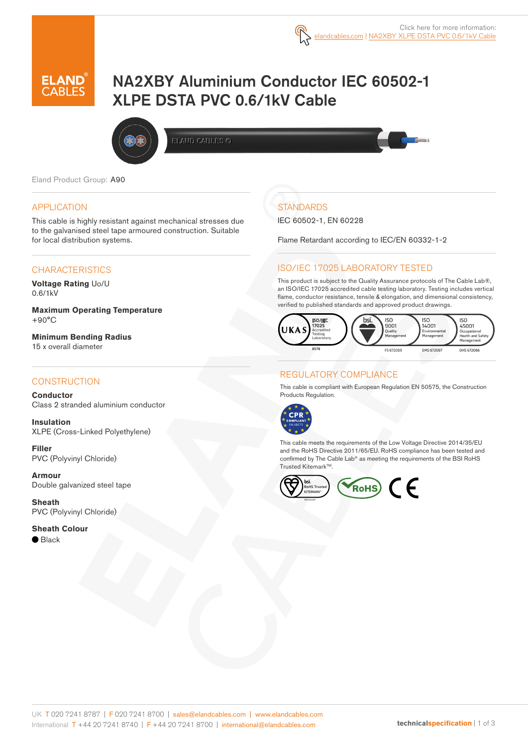

# NA2XBY Aluminium Conductor IEC 60502-1 XLPE DSTA PVC 0.6/1kV Cable



ELAMD CABLES @

Eland Product Group: A90

#### APPLICATION

This cable is highly resistant against mechanical stresses due to the galvanised steel tape armoured construction. Suitable for local distribution systems.

#### **CHARACTERISTICS**

**Voltage Rating** Uo/U 0.6/1kV

**Maximum Operating Temperature** +90°C

**Minimum Bending Radius**  15 x overall diameter

#### **CONSTRUCTION**

**Conductor** Class 2 stranded aluminium conductor

**Insulation** XLPE (Cross-Linked Polyethylene)

**Filler**  PVC (Polyvinyl Chloride)

**Armour** Double galvanized steel tape

**Sheath** PVC (Polyvinyl Chloride)

**Sheath Colour**

 $\bullet$  Black

# **STANDARDS**

IEC 60502-1, EN 60228

Flame Retardant according to IEC/EN 60332-1-2

#### ISO/IEC 17025 LABORATORY TESTED

This product is subject to the Quality Assurance protocols of The Cable Lab®, an ISO/IEC 17025 accredited cable testing laboratory. Testing includes vertical flame, conductor resistance, tensile & elongation, and dimensional consistency, verified to published standards and approved product drawings.



#### REGULATORY COMPLIANCE

This cable is compliant with European Regulation EN 50575, the Construction Products Regulation.



This cable meets the requirements of the Low Voltage Directive 2014/35/EU and the RoHS Directive 2011/65/EU. RoHS compliance has been tested and confirmed by The Cable Lab® as meeting the requirements of the BSI RoHS Trusted Kitemark<sup>™</sup>.

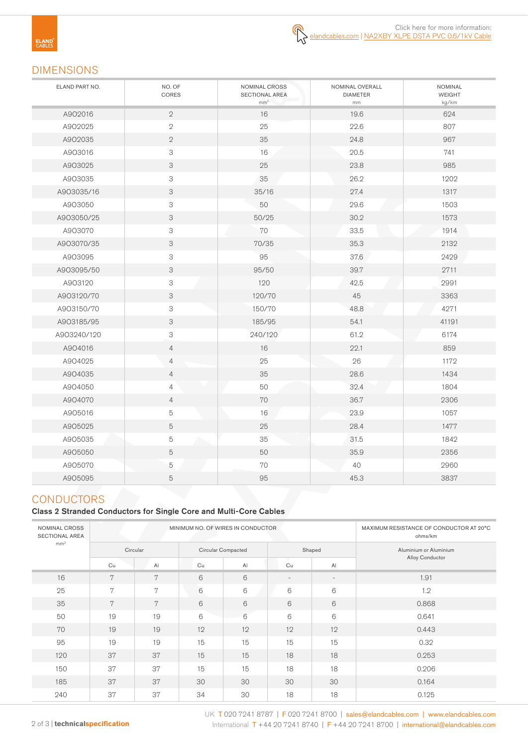**ELAND**<br>CABLES

# DIMENSIONS

| ELAND PART NO. | NO. OF<br>CORES           | NOMINAL CROSS<br><b>SECTIONAL AREA</b><br>mm <sup>2</sup> | NOMINAL OVERALL<br><b>DIAMETER</b><br>mm | <b>NOMINAL</b><br><b>WEIGHT</b><br>kg/km |
|----------------|---------------------------|-----------------------------------------------------------|------------------------------------------|------------------------------------------|
| A902016        | $\mathbf{2}$              | 16                                                        | 19.6                                     | 624                                      |
| A902025        | $\sqrt{2}$                | 25                                                        | 22.6                                     | 807                                      |
| A902035        | $\mathbf{2}$              | 35                                                        | 24.8                                     | 967                                      |
| A903016        | $\mathsf 3$               | 16                                                        | 20.5                                     | 741                                      |
| A903025        | 3                         | 25                                                        | 23.8                                     | 985                                      |
| A903035        | $\ensuremath{\mathsf{3}}$ | 35                                                        | 26.2                                     | 1202                                     |
| A903035/16     | $\ensuremath{\mathsf{3}}$ | 35/16                                                     | 27.4                                     | 1317                                     |
| A903050        | $\ensuremath{\mathsf{3}}$ | 50                                                        | 29.6                                     | 1503                                     |
| A903050/25     | $\ensuremath{\mathsf{3}}$ | 50/25                                                     | 30.2                                     | 1573                                     |
| A903070        | $\ensuremath{\mathsf{3}}$ | 70                                                        | 33.5                                     | 1914                                     |
| A903070/35     | $\ensuremath{\mathsf{3}}$ | 70/35                                                     | 35.3                                     | 2132                                     |
| A903095        | $\ensuremath{\mathsf{3}}$ | 95                                                        | 37.6                                     | 2429                                     |
| A903095/50     | $\ensuremath{\mathsf{3}}$ | 95/50                                                     | 39.7                                     | 2711                                     |
| A903120        | $\ensuremath{\mathsf{3}}$ | 120                                                       | 42.5                                     | 2991                                     |
| A903120/70     | $\ensuremath{\mathsf{3}}$ | 120/70                                                    | 45                                       | 3363                                     |
| A903150/70     | $\ensuremath{\mathsf{3}}$ | 150/70                                                    | 48.8                                     | 4271                                     |
| A903185/95     | $\ensuremath{\mathsf{3}}$ | 185/95                                                    | 54.1                                     | 41191                                    |
| A903240/120    | $\mathsf 3$               | 240/120                                                   | 61.2                                     | 6174                                     |
| A904016        | $\overline{4}$            | 16                                                        | 22.1                                     | 859                                      |
| A904025        | $\overline{4}$            | 25                                                        | 26                                       | 1172                                     |
| A904035        | $\overline{4}$            | 35                                                        | 28.6                                     | 1434                                     |
| A904050        | $\overline{4}$            | 50                                                        | 32.4                                     | 1804                                     |
| A904070        | $\overline{4}$            | 70                                                        | 36.7                                     | 2306                                     |
| A905016        | $\mathbf 5$               | 16                                                        | 23.9                                     | 1057                                     |
| A905025        | 5                         | 25                                                        | 28.4                                     | 1477                                     |
| A905035        | $\mathbf 5$               | 35                                                        | 31.5                                     | 1842                                     |
| A905050        | 5                         | 50                                                        | 35.9                                     | 2356                                     |
| A905070        | 5                         | $70\,$                                                    | 40                                       | 2960                                     |
| A905095        | 5                         | 95                                                        | 45.3                                     | 3837                                     |

# **CONDUCTORS**

### Class 2 Stranded Conductors for Single Core and Multi-Core Cables

| NOMINAL CROSS<br><b>SECTIONAL AREA</b> | MINIMUM NO. OF WIRES IN CONDUCTOR |    |                    |    |                          |                          | MAXIMUM RESISTANCE OF CONDUCTOR AT 20°C<br>ohms/km |
|----------------------------------------|-----------------------------------|----|--------------------|----|--------------------------|--------------------------|----------------------------------------------------|
| mm <sup>2</sup>                        | Circular                          |    | Circular Compacted |    | Shaped                   |                          | Aluminium or Aluminium                             |
|                                        | Cu                                | AI | Cu                 | AI | Cu                       | AI                       | Alloy Conductor                                    |
| 16                                     | 7                                 | 7  | 6                  | 6  | $\overline{\phantom{a}}$ | $\overline{\phantom{a}}$ | 1.91                                               |
| 25                                     | 7                                 | 7  | 6                  | 6  | 6                        | 6                        | 1.2                                                |
| 35                                     | 7                                 | 7  | 6                  | 6  | 6                        | 6                        | 0.868                                              |
| 50                                     | 19                                | 19 | 6                  | 6  | 6                        | 6                        | 0.641                                              |
| 70                                     | 19                                | 19 | 12                 | 12 | 12                       | 12                       | 0.443                                              |
| 95                                     | 19                                | 19 | 15                 | 15 | 15                       | 15                       | 0.32                                               |
| 120                                    | 37                                | 37 | 15                 | 15 | 18                       | 18                       | 0.253                                              |
| 150                                    | 37                                | 37 | 15                 | 15 | 18                       | 18                       | 0.206                                              |
| 185                                    | 37                                | 37 | 30                 | 30 | 30                       | 30                       | 0.164                                              |
| 240                                    | 37                                | 37 | 34                 | 30 | 18                       | 18                       | 0.125                                              |

UK T 020 7241 8787 | F 020 7241 8700 | sales@elandcables.com | www.elandcables.com 2 of 3 | **technicalspecification** International T +44 20 7241 8740 | F +44 20 7241 8700 | international@elandcables.com